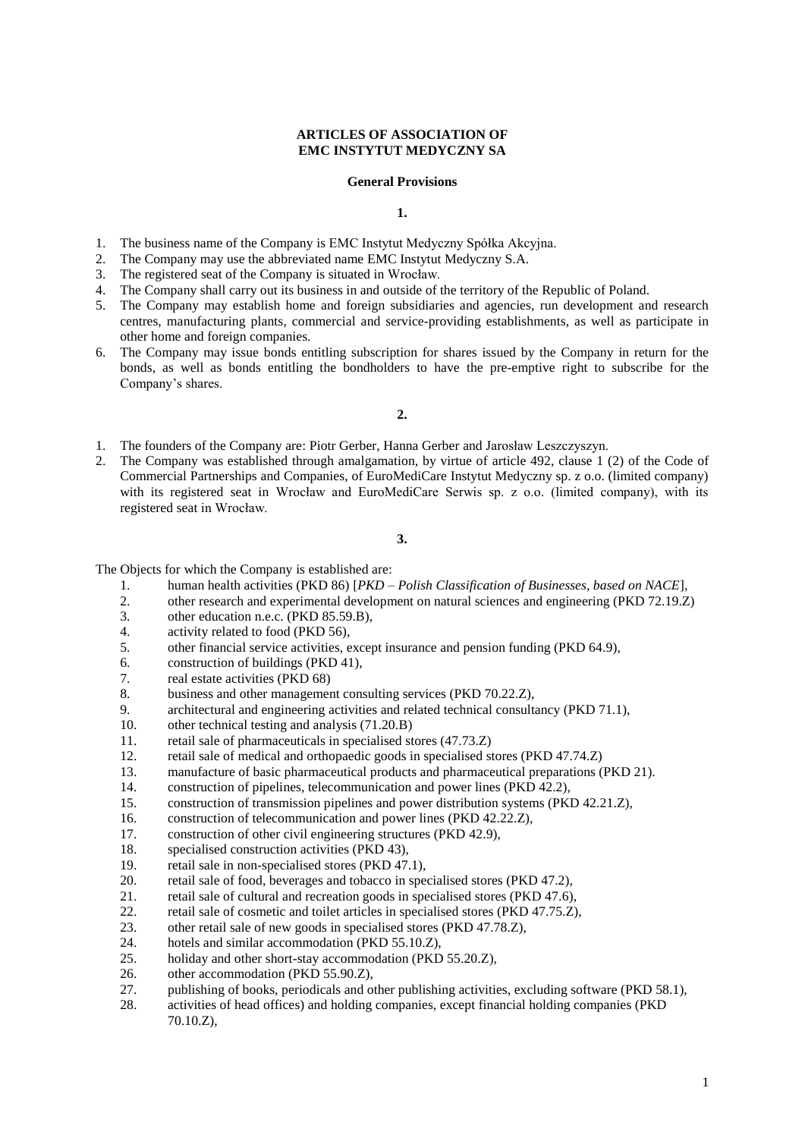## **ARTICLES OF ASSOCIATION OF EMC INSTYTUT MEDYCZNY SA**

### **General Provisions**

### **1.**

- 1. The business name of the Company is EMC Instytut Medyczny Spółka Akcyjna.
- 2. The Company may use the abbreviated name EMC Instytut Medyczny S.A.
- 3. The registered seat of the Company is situated in Wrocław.
- 4. The Company shall carry out its business in and outside of the territory of the Republic of Poland.
- 5. The Company may establish home and foreign subsidiaries and agencies, run development and research centres, manufacturing plants, commercial and service-providing establishments, as well as participate in other home and foreign companies.
- 6. The Company may issue bonds entitling subscription for shares issued by the Company in return for the bonds, as well as bonds entitling the bondholders to have the pre-emptive right to subscribe for the Company's shares.

### **2.**

- 1. The founders of the Company are: Piotr Gerber, Hanna Gerber and Jarosław Leszczyszyn.
- 2. The Company was established through amalgamation, by virtue of article 492, clause 1 (2) of the Code of Commercial Partnerships and Companies, of EuroMediCare Instytut Medyczny sp. z o.o. (limited company) with its registered seat in Wrocław and EuroMediCare Serwis sp. z o.o. (limited company), with its registered seat in Wrocław.

### **3.**

The Objects for which the Company is established are:

- 1. human health activities (PKD 86) [*PKD – Polish Classification of Businesses, based on NACE*],
- 2. other research and experimental development on natural sciences and engineering (PKD 72.19.Z)<br>3 other education n e c (PKD 85.59 B)
- other education n.e.c. (PKD 85.59.B),
- 4. activity related to food (PKD 56),
- 5. other financial service activities, except insurance and pension funding (PKD 64.9),
- 6. construction of buildings (PKD 41),
- 7. real estate activities (PKD 68)
- 8. business and other management consulting services (PKD 70.22.Z),
- 9. architectural and engineering activities and related technical consultancy (PKD 71.1),
- 10. other technical testing and analysis (71.20.B)
- 11. retail sale of pharmaceuticals in specialised stores (47.73.Z)
- 12. retail sale of medical and orthopaedic goods in specialised stores (PKD 47.74.Z)
- 13. manufacture of basic pharmaceutical products and pharmaceutical preparations (PKD 21).
- 14. construction of pipelines, telecommunication and power lines (PKD 42.2),
- 15. construction of transmission pipelines and power distribution systems (PKD 42.21.Z),
- 16. construction of telecommunication and power lines (PKD 42.22.Z),
- 17. construction of other civil engineering structures (PKD 42.9),
- 18. specialised construction activities (PKD 43),
- 19. retail sale in non-specialised stores (PKD 47.1),
- 20. retail sale of food, beverages and tobacco in specialised stores (PKD 47.2),
- 21. retail sale of cultural and recreation goods in specialised stores (PKD 47.6),
- 22. retail sale of cosmetic and toilet articles in specialised stores (PKD 47.75.Z),
- 23. other retail sale of new goods in specialised stores (PKD 47.78.Z),
- 24. hotels and similar accommodation (PKD 55.10.Z),
- 25. holiday and other short-stay accommodation (PKD 55.20.Z),
- 26. other accommodation (PKD 55.90.Z),
- 27. publishing of books, periodicals and other publishing activities, excluding software (PKD 58.1),
- 28. activities of head offices) and holding companies, except financial holding companies (PKD 70.10.Z),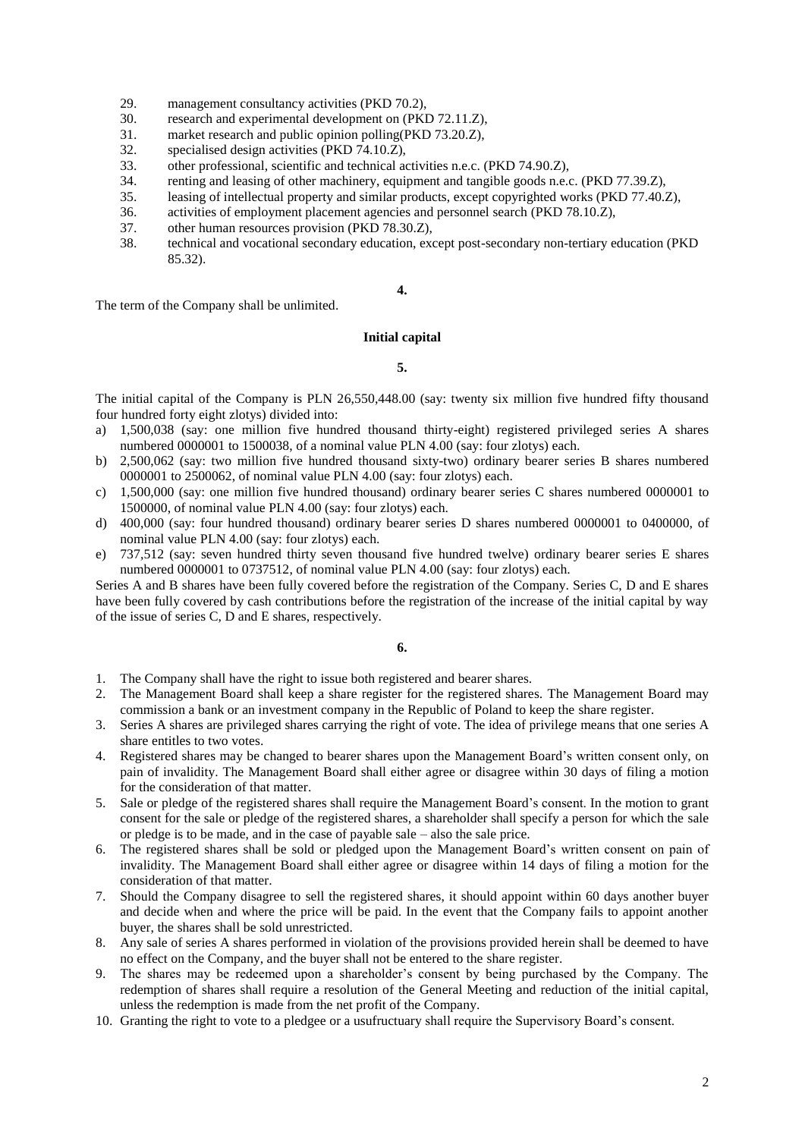- 29. management consultancy activities (PKD 70.2),
- 30. research and experimental development on (PKD 72.11.Z),
- 31. market research and public opinion polling(PKD 73.20.Z),
- 32. specialised design activities (PKD 74.10.Z),
- 33. other professional, scientific and technical activities n.e.c. (PKD 74.90.Z),
- 34. renting and leasing of other machinery, equipment and tangible goods n.e.c. (PKD 77.39.Z),
- 35. leasing of intellectual property and similar products, except copyrighted works (PKD 77.40.Z),
- 36. activities of employment placement agencies and personnel search (PKD 78.10.Z),
- 37. other human resources provision (PKD 78.30.Z),
- 38. technical and vocational secondary education, except post-secondary non-tertiary education (PKD 85.32).

# **4.**

The term of the Company shall be unlimited.

## **Initial capital**

# **5.**

The initial capital of the Company is PLN 26,550,448.00 (say: twenty six million five hundred fifty thousand four hundred forty eight zlotys) divided into:

- a) 1,500,038 (say: one million five hundred thousand thirty-eight) registered privileged series A shares numbered 0000001 to 1500038, of a nominal value PLN 4.00 (say: four zlotys) each.
- b) 2,500,062 (say: two million five hundred thousand sixty-two) ordinary bearer series B shares numbered 0000001 to 2500062, of nominal value PLN 4.00 (say: four zlotys) each.
- c) 1,500,000 (say: one million five hundred thousand) ordinary bearer series C shares numbered 0000001 to 1500000, of nominal value PLN 4.00 (say: four zlotys) each.
- d) 400,000 (say: four hundred thousand) ordinary bearer series D shares numbered 0000001 to 0400000, of nominal value PLN 4.00 (say: four zlotys) each.
- e) 737,512 (say: seven hundred thirty seven thousand five hundred twelve) ordinary bearer series E shares numbered 0000001 to 0737512, of nominal value PLN 4.00 (say: four zlotys) each.

Series A and B shares have been fully covered before the registration of the Company. Series C, D and E shares have been fully covered by cash contributions before the registration of the increase of the initial capital by way of the issue of series C, D and E shares, respectively.

**6.**

- 1. The Company shall have the right to issue both registered and bearer shares.
- 2. The Management Board shall keep a share register for the registered shares. The Management Board may commission a bank or an investment company in the Republic of Poland to keep the share register.
- 3. Series A shares are privileged shares carrying the right of vote. The idea of privilege means that one series A share entitles to two votes.
- 4. Registered shares may be changed to bearer shares upon the Management Board's written consent only, on pain of invalidity. The Management Board shall either agree or disagree within 30 days of filing a motion for the consideration of that matter.
- 5. Sale or pledge of the registered shares shall require the Management Board's consent. In the motion to grant consent for the sale or pledge of the registered shares, a shareholder shall specify a person for which the sale or pledge is to be made, and in the case of payable sale – also the sale price.
- 6. The registered shares shall be sold or pledged upon the Management Board's written consent on pain of invalidity. The Management Board shall either agree or disagree within 14 days of filing a motion for the consideration of that matter.
- 7. Should the Company disagree to sell the registered shares, it should appoint within 60 days another buyer and decide when and where the price will be paid. In the event that the Company fails to appoint another buyer, the shares shall be sold unrestricted.
- 8. Any sale of series A shares performed in violation of the provisions provided herein shall be deemed to have no effect on the Company, and the buyer shall not be entered to the share register.
- 9. The shares may be redeemed upon a shareholder's consent by being purchased by the Company. The redemption of shares shall require a resolution of the General Meeting and reduction of the initial capital, unless the redemption is made from the net profit of the Company.
- 10. Granting the right to vote to a pledgee or a usufructuary shall require the Supervisory Board's consent.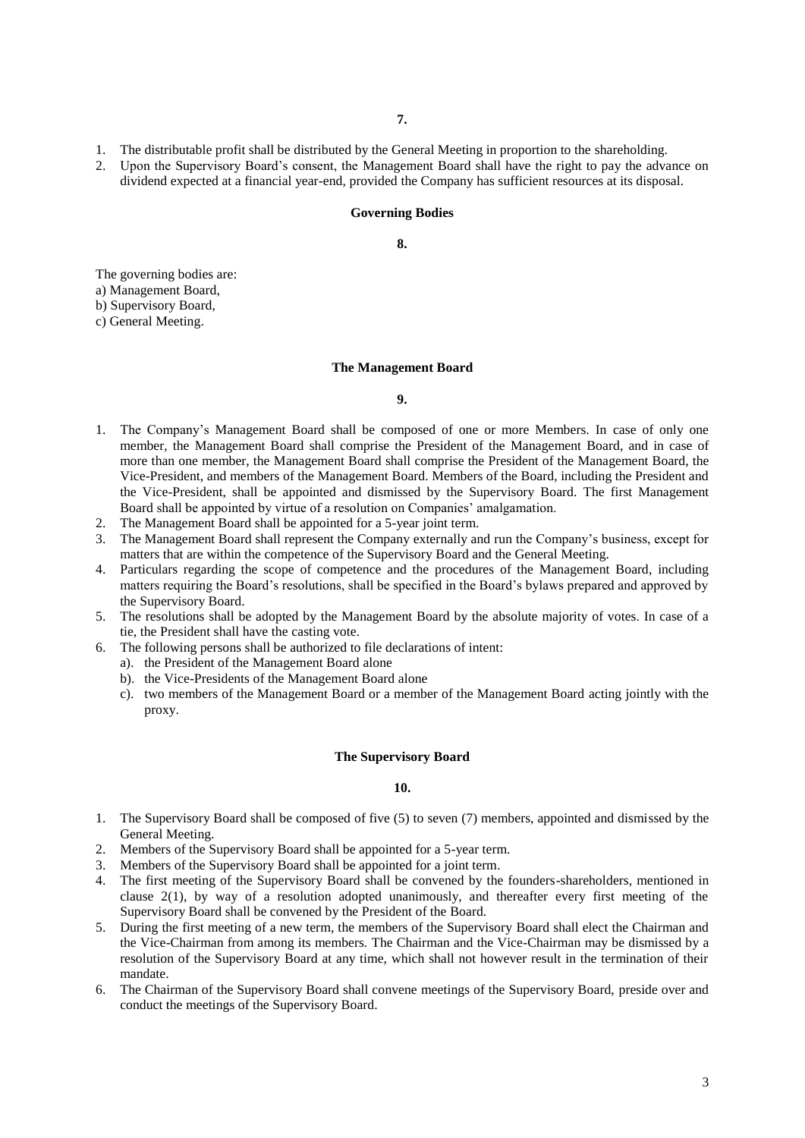- 1. The distributable profit shall be distributed by the General Meeting in proportion to the shareholding.
- 2. Upon the Supervisory Board's consent, the Management Board shall have the right to pay the advance on dividend expected at a financial year-end, provided the Company has sufficient resources at its disposal.

#### **Governing Bodies**

**8.**

The governing bodies are:

a) Management Board,

b) Supervisory Board,

c) General Meeting.

## **The Management Board**

**9.**

- 1. The Company's Management Board shall be composed of one or more Members. In case of only one member, the Management Board shall comprise the President of the Management Board, and in case of more than one member, the Management Board shall comprise the President of the Management Board, the Vice-President, and members of the Management Board. Members of the Board, including the President and the Vice-President, shall be appointed and dismissed by the Supervisory Board. The first Management Board shall be appointed by virtue of a resolution on Companies' amalgamation.
- 2. The Management Board shall be appointed for a 5-year joint term.
- 3. The Management Board shall represent the Company externally and run the Company's business, except for matters that are within the competence of the Supervisory Board and the General Meeting.
- 4. Particulars regarding the scope of competence and the procedures of the Management Board, including matters requiring the Board's resolutions, shall be specified in the Board's bylaws prepared and approved by the Supervisory Board.
- 5. The resolutions shall be adopted by the Management Board by the absolute majority of votes. In case of a tie, the President shall have the casting vote.
- 6. The following persons shall be authorized to file declarations of intent:
	- a). the President of the Management Board alone
	- b). the Vice-Presidents of the Management Board alone
	- c). two members of the Management Board or a member of the Management Board acting jointly with the proxy.

#### **The Supervisory Board**

## **10.**

- 1. The Supervisory Board shall be composed of five (5) to seven (7) members, appointed and dismissed by the General Meeting.
- 2. Members of the Supervisory Board shall be appointed for a 5-year term.
- 3. Members of the Supervisory Board shall be appointed for a joint term.
- 4. The first meeting of the Supervisory Board shall be convened by the founders-shareholders, mentioned in clause  $2(1)$ , by way of a resolution adopted unanimously, and thereafter every first meeting of the Supervisory Board shall be convened by the President of the Board.
- 5. During the first meeting of a new term, the members of the Supervisory Board shall elect the Chairman and the Vice-Chairman from among its members. The Chairman and the Vice-Chairman may be dismissed by a resolution of the Supervisory Board at any time, which shall not however result in the termination of their mandate.
- 6. The Chairman of the Supervisory Board shall convene meetings of the Supervisory Board, preside over and conduct the meetings of the Supervisory Board.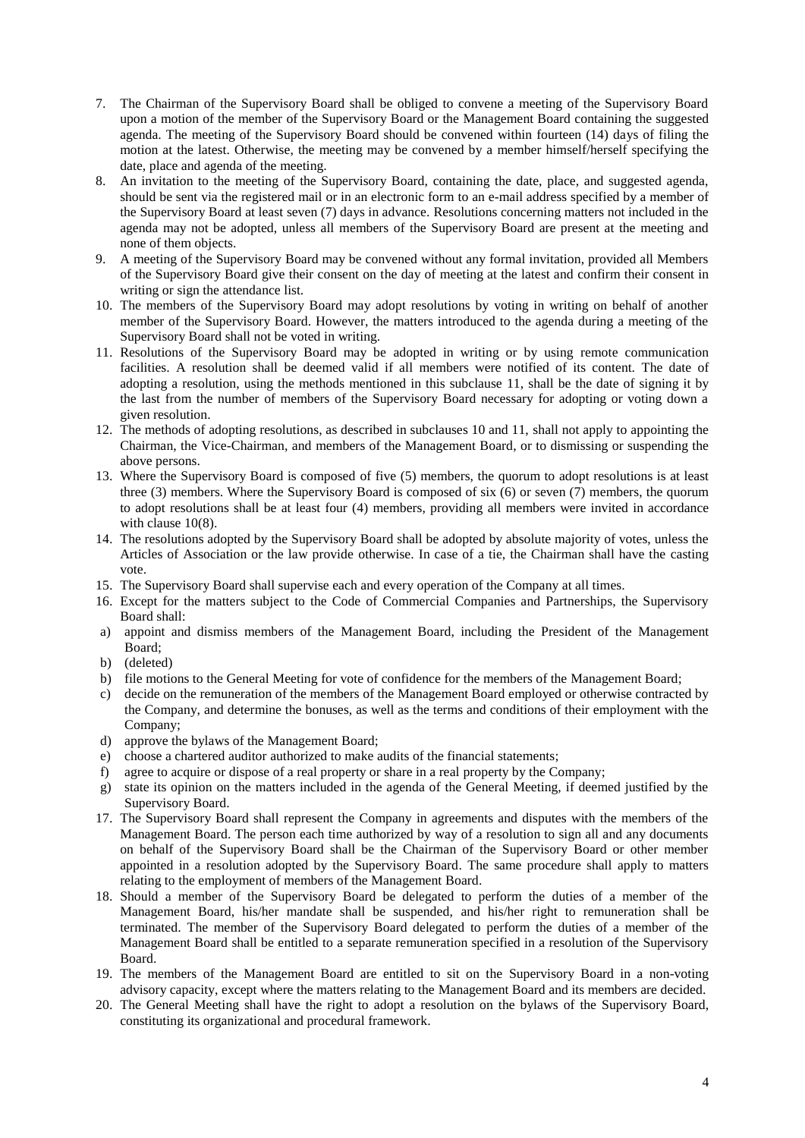- 7. The Chairman of the Supervisory Board shall be obliged to convene a meeting of the Supervisory Board upon a motion of the member of the Supervisory Board or the Management Board containing the suggested agenda. The meeting of the Supervisory Board should be convened within fourteen (14) days of filing the motion at the latest. Otherwise, the meeting may be convened by a member himself/herself specifying the date, place and agenda of the meeting.
- 8. An invitation to the meeting of the Supervisory Board, containing the date, place, and suggested agenda, should be sent via the registered mail or in an electronic form to an e-mail address specified by a member of the Supervisory Board at least seven (7) days in advance. Resolutions concerning matters not included in the agenda may not be adopted, unless all members of the Supervisory Board are present at the meeting and none of them objects.
- 9. A meeting of the Supervisory Board may be convened without any formal invitation, provided all Members of the Supervisory Board give their consent on the day of meeting at the latest and confirm their consent in writing or sign the attendance list.
- 10. The members of the Supervisory Board may adopt resolutions by voting in writing on behalf of another member of the Supervisory Board. However, the matters introduced to the agenda during a meeting of the Supervisory Board shall not be voted in writing.
- 11. Resolutions of the Supervisory Board may be adopted in writing or by using remote communication facilities. A resolution shall be deemed valid if all members were notified of its content. The date of adopting a resolution, using the methods mentioned in this subclause 11, shall be the date of signing it by the last from the number of members of the Supervisory Board necessary for adopting or voting down a given resolution.
- 12. The methods of adopting resolutions, as described in subclauses 10 and 11, shall not apply to appointing the Chairman, the Vice-Chairman, and members of the Management Board, or to dismissing or suspending the above persons.
- 13. Where the Supervisory Board is composed of five (5) members, the quorum to adopt resolutions is at least three (3) members. Where the Supervisory Board is composed of six (6) or seven (7) members, the quorum to adopt resolutions shall be at least four (4) members, providing all members were invited in accordance with clause 10(8).
- 14. The resolutions adopted by the Supervisory Board shall be adopted by absolute majority of votes, unless the Articles of Association or the law provide otherwise. In case of a tie, the Chairman shall have the casting vote.
- 15. The Supervisory Board shall supervise each and every operation of the Company at all times.
- 16. Except for the matters subject to the Code of Commercial Companies and Partnerships, the Supervisory Board shall:
- a) appoint and dismiss members of the Management Board, including the President of the Management Board:
- b) (deleted)
- b) file motions to the General Meeting for vote of confidence for the members of the Management Board;
- c) decide on the remuneration of the members of the Management Board employed or otherwise contracted by the Company, and determine the bonuses, as well as the terms and conditions of their employment with the Company;
- d) approve the bylaws of the Management Board;
- e) choose a chartered auditor authorized to make audits of the financial statements;
- f) agree to acquire or dispose of a real property or share in a real property by the Company;
- g) state its opinion on the matters included in the agenda of the General Meeting, if deemed justified by the Supervisory Board.
- 17. The Supervisory Board shall represent the Company in agreements and disputes with the members of the Management Board. The person each time authorized by way of a resolution to sign all and any documents on behalf of the Supervisory Board shall be the Chairman of the Supervisory Board or other member appointed in a resolution adopted by the Supervisory Board. The same procedure shall apply to matters relating to the employment of members of the Management Board.
- 18. Should a member of the Supervisory Board be delegated to perform the duties of a member of the Management Board, his/her mandate shall be suspended, and his/her right to remuneration shall be terminated. The member of the Supervisory Board delegated to perform the duties of a member of the Management Board shall be entitled to a separate remuneration specified in a resolution of the Supervisory Board.
- 19. The members of the Management Board are entitled to sit on the Supervisory Board in a non-voting advisory capacity, except where the matters relating to the Management Board and its members are decided.
- 20. The General Meeting shall have the right to adopt a resolution on the bylaws of the Supervisory Board, constituting its organizational and procedural framework.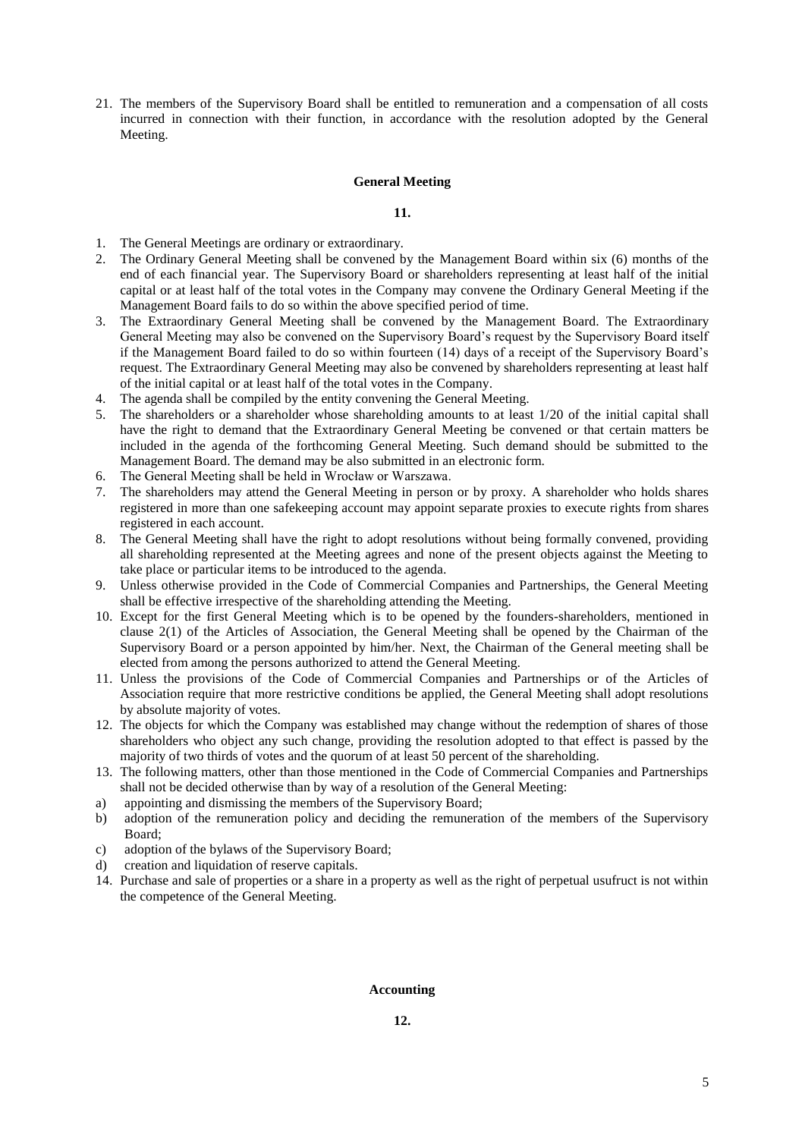21. The members of the Supervisory Board shall be entitled to remuneration and a compensation of all costs incurred in connection with their function, in accordance with the resolution adopted by the General Meeting.

## **General Meeting**

**11.**

- 1. The General Meetings are ordinary or extraordinary.
- 2. The Ordinary General Meeting shall be convened by the Management Board within six (6) months of the end of each financial year. The Supervisory Board or shareholders representing at least half of the initial capital or at least half of the total votes in the Company may convene the Ordinary General Meeting if the Management Board fails to do so within the above specified period of time.
- 3. The Extraordinary General Meeting shall be convened by the Management Board. The Extraordinary General Meeting may also be convened on the Supervisory Board's request by the Supervisory Board itself if the Management Board failed to do so within fourteen (14) days of a receipt of the Supervisory Board's request. The Extraordinary General Meeting may also be convened by shareholders representing at least half of the initial capital or at least half of the total votes in the Company.
- 4. The agenda shall be compiled by the entity convening the General Meeting.
- 5. The shareholders or a shareholder whose shareholding amounts to at least 1/20 of the initial capital shall have the right to demand that the Extraordinary General Meeting be convened or that certain matters be included in the agenda of the forthcoming General Meeting. Such demand should be submitted to the Management Board. The demand may be also submitted in an electronic form.
- 6. The General Meeting shall be held in Wrocław or Warszawa.
- 7. The shareholders may attend the General Meeting in person or by proxy. A shareholder who holds shares registered in more than one safekeeping account may appoint separate proxies to execute rights from shares registered in each account.
- 8. The General Meeting shall have the right to adopt resolutions without being formally convened, providing all shareholding represented at the Meeting agrees and none of the present objects against the Meeting to take place or particular items to be introduced to the agenda.
- 9. Unless otherwise provided in the Code of Commercial Companies and Partnerships, the General Meeting shall be effective irrespective of the shareholding attending the Meeting.
- 10. Except for the first General Meeting which is to be opened by the founders-shareholders, mentioned in clause 2(1) of the Articles of Association, the General Meeting shall be opened by the Chairman of the Supervisory Board or a person appointed by him/her. Next, the Chairman of the General meeting shall be elected from among the persons authorized to attend the General Meeting.
- 11. Unless the provisions of the Code of Commercial Companies and Partnerships or of the Articles of Association require that more restrictive conditions be applied, the General Meeting shall adopt resolutions by absolute majority of votes.
- 12. The objects for which the Company was established may change without the redemption of shares of those shareholders who object any such change, providing the resolution adopted to that effect is passed by the majority of two thirds of votes and the quorum of at least 50 percent of the shareholding.
- 13. The following matters, other than those mentioned in the Code of Commercial Companies and Partnerships shall not be decided otherwise than by way of a resolution of the General Meeting:
- a) appointing and dismissing the members of the Supervisory Board;
- b) adoption of the remuneration policy and deciding the remuneration of the members of the Supervisory Board;
- c) adoption of the bylaws of the Supervisory Board;
- d) creation and liquidation of reserve capitals.
- 14. Purchase and sale of properties or a share in a property as well as the right of perpetual usufruct is not within the competence of the General Meeting.

## **Accounting**